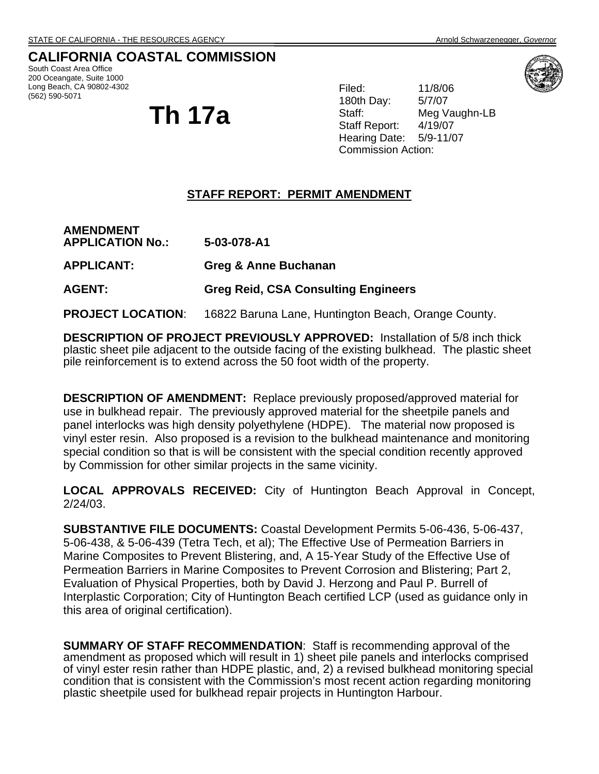# **CALIFORNIA COASTAL COMMISSION**

South Coast Area Office 200 Oceangate, Suite 1000 Long Beach, CA 90802-4302 (562) 590-5071

# **Th 17a**

Filed: 11/8/06 180th Day: 5/7/07 Staff: Meg Vaughn-LB Staff Report: 4/19/07 Hearing Date: 5/9-11/07 Commission Action:

## **STAFF REPORT: PERMIT AMENDMENT**

| <b>AMENDMENT</b><br><b>APPLICATION No.:</b> | 5-03-078-A1                                |
|---------------------------------------------|--------------------------------------------|
| <b>APPLICANT:</b>                           | Greg & Anne Buchanan                       |
| <b>AGENT:</b>                               | <b>Greg Reid, CSA Consulting Engineers</b> |
|                                             |                                            |

**PROJECT LOCATION**: 16822 Baruna Lane, Huntington Beach, Orange County.

**DESCRIPTION OF PROJECT PREVIOUSLY APPROVED:** Installation of 5/8 inch thick plastic sheet pile adjacent to the outside facing of the existing bulkhead. The plastic sheet pile reinforcement is to extend across the 50 foot width of the property.

**DESCRIPTION OF AMENDMENT:** Replace previously proposed/approved material for use in bulkhead repair. The previously approved material for the sheetpile panels and panel interlocks was high density polyethylene (HDPE). The material now proposed is vinyl ester resin. Also proposed is a revision to the bulkhead maintenance and monitoring special condition so that is will be consistent with the special condition recently approved by Commission for other similar projects in the same vicinity.

**LOCAL APPROVALS RECEIVED:** City of Huntington Beach Approval in Concept, 2/24/03.

**SUBSTANTIVE FILE DOCUMENTS:** Coastal Development Permits 5-06-436, 5-06-437, 5-06-438, & 5-06-439 (Tetra Tech, et al); The Effective Use of Permeation Barriers in Marine Composites to Prevent Blistering, and, A 15-Year Study of the Effective Use of Permeation Barriers in Marine Composites to Prevent Corrosion and Blistering; Part 2, Evaluation of Physical Properties, both by David J. Herzong and Paul P. Burrell of Interplastic Corporation; City of Huntington Beach certified LCP (used as guidance only in this area of original certification).

**SUMMARY OF STAFF RECOMMENDATION**: Staff is recommending approval of the amendment as proposed which will result in 1) sheet pile panels and interlocks comprised of vinyl ester resin rather than HDPE plastic, and, 2) a revised bulkhead monitoring special condition that is consistent with the Commission's most recent action regarding monitoring plastic sheetpile used for bulkhead repair projects in Huntington Harbour.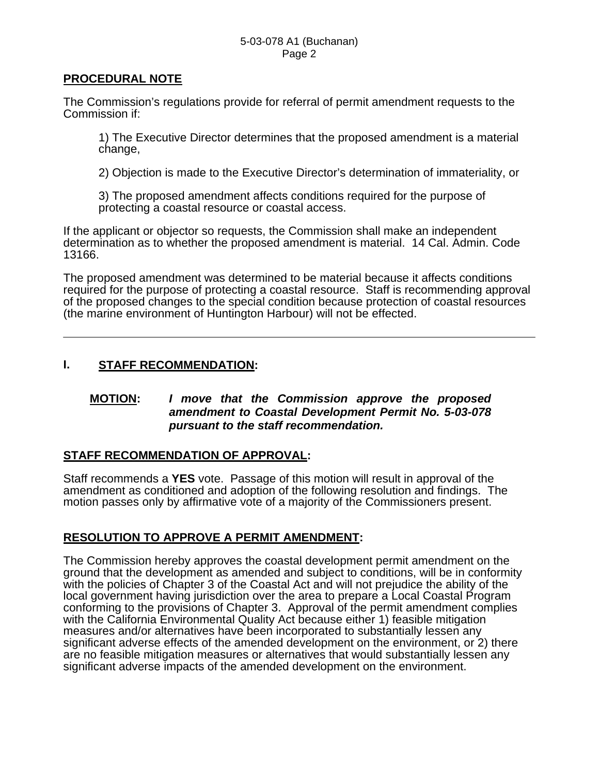### **PROCEDURAL NOTE**

The Commission's regulations provide for referral of permit amendment requests to the Commission if:

1) The Executive Director determines that the proposed amendment is a material change,

2) Objection is made to the Executive Director's determination of immateriality, or

3) The proposed amendment affects conditions required for the purpose of protecting a coastal resource or coastal access.

If the applicant or objector so requests, the Commission shall make an independent determination as to whether the proposed amendment is material. 14 Cal. Admin. Code 13166.

The proposed amendment was determined to be material because it affects conditions required for the purpose of protecting a coastal resource. Staff is recommending approval of the proposed changes to the special condition because protection of coastal resources (the marine environment of Huntington Harbour) will not be effected.

## **I. STAFF RECOMMENDATION:**

## **MOTION:** *I move that the Commission approve the proposed amendment to Coastal Development Permit No. 5-03-078 pursuant to the staff recommendation.*

# **STAFF RECOMMENDATION OF APPROVAL:**

Staff recommends a **YES** vote. Passage of this motion will result in approval of the amendment as conditioned and adoption of the following resolution and findings. The motion passes only by affirmative vote of a majority of the Commissioners present.

## **RESOLUTION TO APPROVE A PERMIT AMENDMENT:**

The Commission hereby approves the coastal development permit amendment on the ground that the development as amended and subject to conditions, will be in conformity with the policies of Chapter 3 of the Coastal Act and will not prejudice the ability of the local government having jurisdiction over the area to prepare a Local Coastal Program conforming to the provisions of Chapter 3. Approval of the permit amendment complies with the California Environmental Quality Act because either 1) feasible mitigation measures and/or alternatives have been incorporated to substantially lessen any significant adverse effects of the amended development on the environment, or 2) there are no feasible mitigation measures or alternatives that would substantially lessen any significant adverse impacts of the amended development on the environment.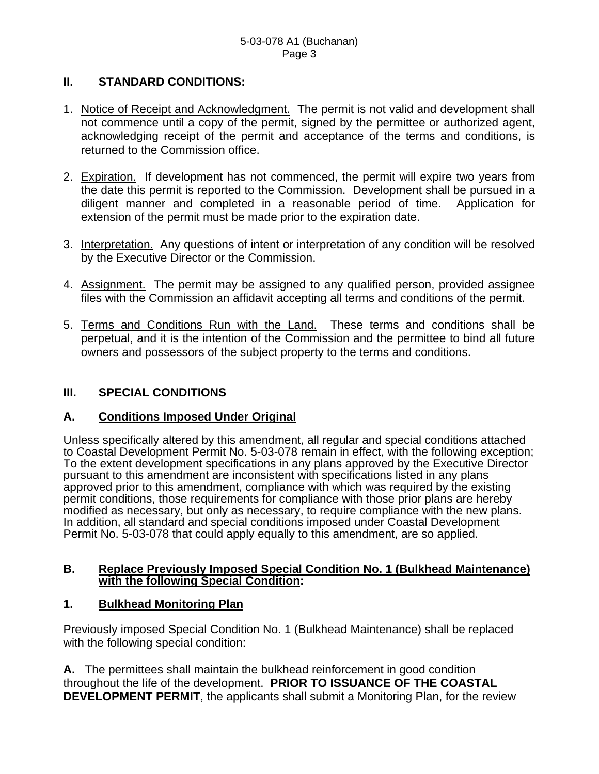# **II. STANDARD CONDITIONS:**

- 1. Notice of Receipt and Acknowledgment. The permit is not valid and development shall not commence until a copy of the permit, signed by the permittee or authorized agent, acknowledging receipt of the permit and acceptance of the terms and conditions, is returned to the Commission office.
- 2. Expiration. If development has not commenced, the permit will expire two years from the date this permit is reported to the Commission. Development shall be pursued in a diligent manner and completed in a reasonable period of time. Application for extension of the permit must be made prior to the expiration date.
- 3. Interpretation. Any questions of intent or interpretation of any condition will be resolved by the Executive Director or the Commission.
- 4. Assignment. The permit may be assigned to any qualified person, provided assignee files with the Commission an affidavit accepting all terms and conditions of the permit.
- 5. Terms and Conditions Run with the Land. These terms and conditions shall be perpetual, and it is the intention of the Commission and the permittee to bind all future owners and possessors of the subject property to the terms and conditions.

# **III. SPECIAL CONDITIONS**

# **A. Conditions Imposed Under Original**

Unless specifically altered by this amendment, all regular and special conditions attached to Coastal Development Permit No. 5-03-078 remain in effect, with the following exception; To the extent development specifications in any plans approved by the Executive Director pursuant to this amendment are inconsistent with specifications listed in any plans approved prior to this amendment, compliance with which was required by the existing permit conditions, those requirements for compliance with those prior plans are hereby modified as necessary, but only as necessary, to require compliance with the new plans. In addition, all standard and special conditions imposed under Coastal Development Permit No. 5-03-078 that could apply equally to this amendment, are so applied.

#### **B. Replace Previously Imposed Special Condition No. 1 (Bulkhead Maintenance) with the following Special Condition:**

## **1. Bulkhead Monitoring Plan**

Previously imposed Special Condition No. 1 (Bulkhead Maintenance) shall be replaced with the following special condition:

**A.** The permittees shall maintain the bulkhead reinforcement in good condition throughout the life of the development. **PRIOR TO ISSUANCE OF THE COASTAL DEVELOPMENT PERMIT**, the applicants shall submit a Monitoring Plan, for the review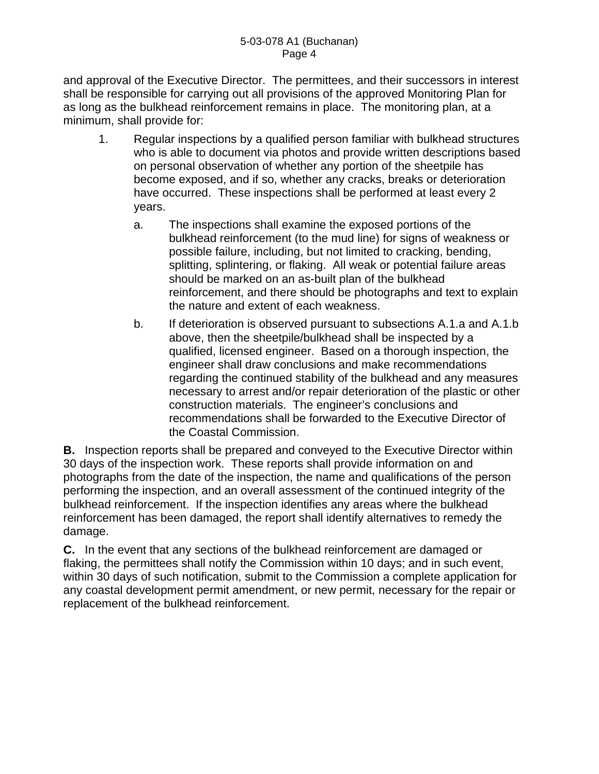and approval of the Executive Director. The permittees, and their successors in interest shall be responsible for carrying out all provisions of the approved Monitoring Plan for as long as the bulkhead reinforcement remains in place. The monitoring plan, at a minimum, shall provide for:

- 1. Regular inspections by a qualified person familiar with bulkhead structures who is able to document via photos and provide written descriptions based on personal observation of whether any portion of the sheetpile has become exposed, and if so, whether any cracks, breaks or deterioration have occurred. These inspections shall be performed at least every 2 years.
	- a. The inspections shall examine the exposed portions of the bulkhead reinforcement (to the mud line) for signs of weakness or possible failure, including, but not limited to cracking, bending, splitting, splintering, or flaking. All weak or potential failure areas should be marked on an as-built plan of the bulkhead reinforcement, and there should be photographs and text to explain the nature and extent of each weakness.
	- b. If deterioration is observed pursuant to subsections A.1.a and A.1.b above, then the sheetpile/bulkhead shall be inspected by a qualified, licensed engineer. Based on a thorough inspection, the engineer shall draw conclusions and make recommendations regarding the continued stability of the bulkhead and any measures necessary to arrest and/or repair deterioration of the plastic or other construction materials. The engineer's conclusions and recommendations shall be forwarded to the Executive Director of the Coastal Commission.

**B.** Inspection reports shall be prepared and conveyed to the Executive Director within 30 days of the inspection work. These reports shall provide information on and photographs from the date of the inspection, the name and qualifications of the person performing the inspection, and an overall assessment of the continued integrity of the bulkhead reinforcement. If the inspection identifies any areas where the bulkhead reinforcement has been damaged, the report shall identify alternatives to remedy the damage.

**C.** In the event that any sections of the bulkhead reinforcement are damaged or flaking, the permittees shall notify the Commission within 10 days; and in such event, within 30 days of such notification, submit to the Commission a complete application for any coastal development permit amendment, or new permit, necessary for the repair or replacement of the bulkhead reinforcement.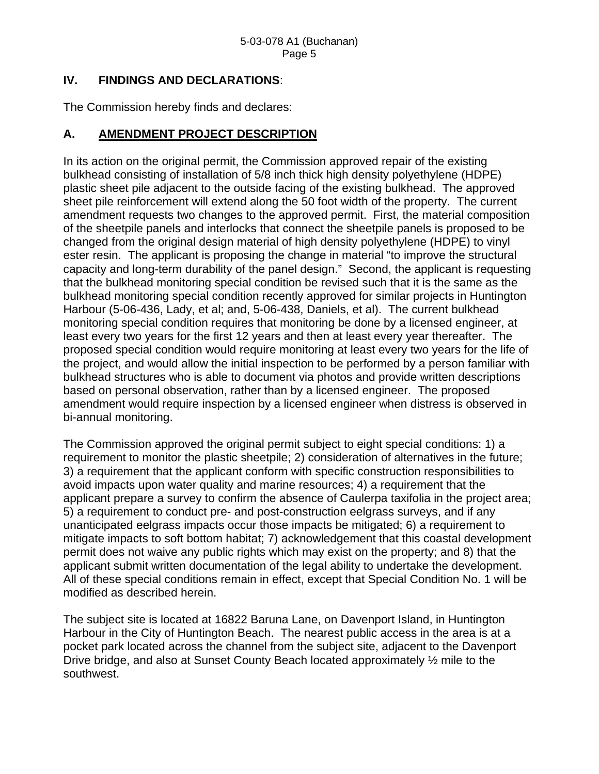## **IV. FINDINGS AND DECLARATIONS**:

The Commission hereby finds and declares:

# **A. AMENDMENT PROJECT DESCRIPTION**

In its action on the original permit, the Commission approved repair of the existing bulkhead consisting of installation of 5/8 inch thick high density polyethylene (HDPE) plastic sheet pile adjacent to the outside facing of the existing bulkhead. The approved sheet pile reinforcement will extend along the 50 foot width of the property. The current amendment requests two changes to the approved permit. First, the material composition of the sheetpile panels and interlocks that connect the sheetpile panels is proposed to be changed from the original design material of high density polyethylene (HDPE) to vinyl ester resin. The applicant is proposing the change in material "to improve the structural capacity and long-term durability of the panel design." Second, the applicant is requesting that the bulkhead monitoring special condition be revised such that it is the same as the bulkhead monitoring special condition recently approved for similar projects in Huntington Harbour (5-06-436, Lady, et al; and, 5-06-438, Daniels, et al). The current bulkhead monitoring special condition requires that monitoring be done by a licensed engineer, at least every two years for the first 12 years and then at least every year thereafter. The proposed special condition would require monitoring at least every two years for the life of the project, and would allow the initial inspection to be performed by a person familiar with bulkhead structures who is able to document via photos and provide written descriptions based on personal observation, rather than by a licensed engineer. The proposed amendment would require inspection by a licensed engineer when distress is observed in bi-annual monitoring.

The Commission approved the original permit subject to eight special conditions: 1) a requirement to monitor the plastic sheetpile; 2) consideration of alternatives in the future; 3) a requirement that the applicant conform with specific construction responsibilities to avoid impacts upon water quality and marine resources; 4) a requirement that the applicant prepare a survey to confirm the absence of Caulerpa taxifolia in the project area; 5) a requirement to conduct pre- and post-construction eelgrass surveys, and if any unanticipated eelgrass impacts occur those impacts be mitigated; 6) a requirement to mitigate impacts to soft bottom habitat; 7) acknowledgement that this coastal development permit does not waive any public rights which may exist on the property; and 8) that the applicant submit written documentation of the legal ability to undertake the development. All of these special conditions remain in effect, except that Special Condition No. 1 will be modified as described herein.

The subject site is located at 16822 Baruna Lane, on Davenport Island, in Huntington Harbour in the City of Huntington Beach. The nearest public access in the area is at a pocket park located across the channel from the subject site, adjacent to the Davenport Drive bridge, and also at Sunset County Beach located approximately ½ mile to the southwest.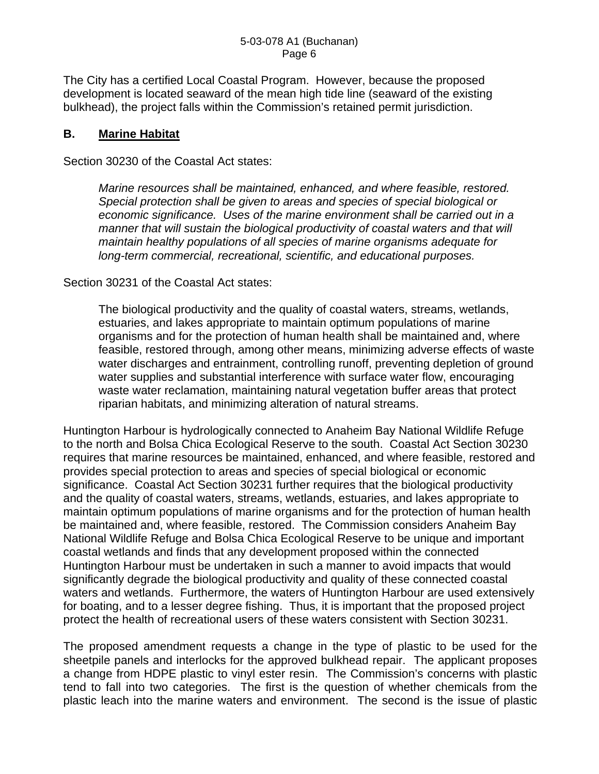The City has a certified Local Coastal Program. However, because the proposed development is located seaward of the mean high tide line (seaward of the existing bulkhead), the project falls within the Commission's retained permit jurisdiction.

## **B. Marine Habitat**

Section 30230 of the Coastal Act states:

*Marine resources shall be maintained, enhanced, and where feasible, restored. Special protection shall be given to areas and species of special biological or economic significance. Uses of the marine environment shall be carried out in a manner that will sustain the biological productivity of coastal waters and that will maintain healthy populations of all species of marine organisms adequate for long-term commercial, recreational, scientific, and educational purposes.*

Section 30231 of the Coastal Act states:

The biological productivity and the quality of coastal waters, streams, wetlands, estuaries, and lakes appropriate to maintain optimum populations of marine organisms and for the protection of human health shall be maintained and, where feasible, restored through, among other means, minimizing adverse effects of waste water discharges and entrainment, controlling runoff, preventing depletion of ground water supplies and substantial interference with surface water flow, encouraging waste water reclamation, maintaining natural vegetation buffer areas that protect riparian habitats, and minimizing alteration of natural streams.

Huntington Harbour is hydrologically connected to Anaheim Bay National Wildlife Refuge to the north and Bolsa Chica Ecological Reserve to the south. Coastal Act Section 30230 requires that marine resources be maintained, enhanced, and where feasible, restored and provides special protection to areas and species of special biological or economic significance. Coastal Act Section 30231 further requires that the biological productivity and the quality of coastal waters, streams, wetlands, estuaries, and lakes appropriate to maintain optimum populations of marine organisms and for the protection of human health be maintained and, where feasible, restored. The Commission considers Anaheim Bay National Wildlife Refuge and Bolsa Chica Ecological Reserve to be unique and important coastal wetlands and finds that any development proposed within the connected Huntington Harbour must be undertaken in such a manner to avoid impacts that would significantly degrade the biological productivity and quality of these connected coastal waters and wetlands. Furthermore, the waters of Huntington Harbour are used extensively for boating, and to a lesser degree fishing. Thus, it is important that the proposed project protect the health of recreational users of these waters consistent with Section 30231.

The proposed amendment requests a change in the type of plastic to be used for the sheetpile panels and interlocks for the approved bulkhead repair. The applicant proposes a change from HDPE plastic to vinyl ester resin. The Commission's concerns with plastic tend to fall into two categories. The first is the question of whether chemicals from the plastic leach into the marine waters and environment. The second is the issue of plastic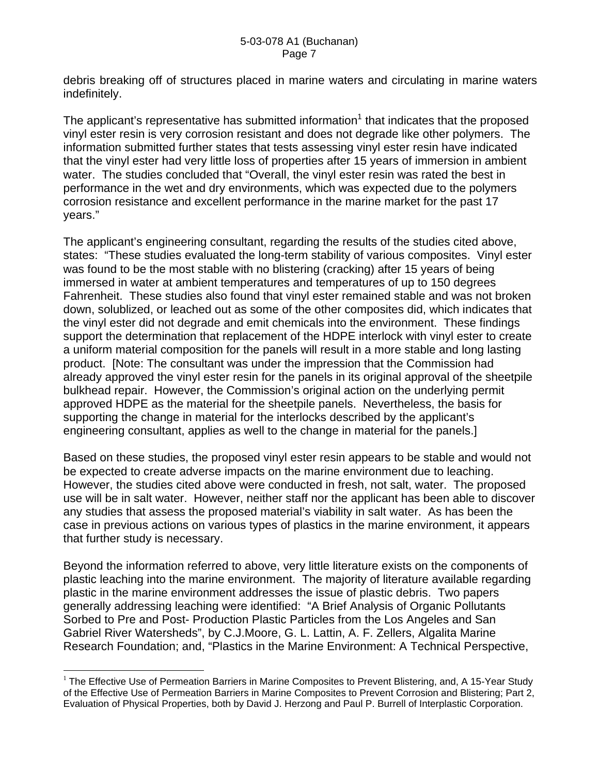debris breaking off of structures placed in marine waters and circulating in marine waters indefinitely.

The applicant's representative has submitted information<sup>1</sup> that indicates that the proposed vinyl ester resin is very corrosion resistant and does not degrade like other polymers. The information submitted further states that tests assessing vinyl ester resin have indicated that the vinyl ester had very little loss of properties after 15 years of immersion in ambient water. The studies concluded that "Overall, the vinyl ester resin was rated the best in performance in the wet and dry environments, which was expected due to the polymers corrosion resistance and excellent performance in the marine market for the past 17 years."

The applicant's engineering consultant, regarding the results of the studies cited above, states: "These studies evaluated the long-term stability of various composites. Vinyl ester was found to be the most stable with no blistering (cracking) after 15 years of being immersed in water at ambient temperatures and temperatures of up to 150 degrees Fahrenheit. These studies also found that vinyl ester remained stable and was not broken down, solublized, or leached out as some of the other composites did, which indicates that the vinyl ester did not degrade and emit chemicals into the environment. These findings support the determination that replacement of the HDPE interlock with vinyl ester to create a uniform material composition for the panels will result in a more stable and long lasting product. [Note: The consultant was under the impression that the Commission had already approved the vinyl ester resin for the panels in its original approval of the sheetpile bulkhead repair. However, the Commission's original action on the underlying permit approved HDPE as the material for the sheetpile panels. Nevertheless, the basis for supporting the change in material for the interlocks described by the applicant's engineering consultant, applies as well to the change in material for the panels.]

Based on these studies, the proposed vinyl ester resin appears to be stable and would not be expected to create adverse impacts on the marine environment due to leaching. However, the studies cited above were conducted in fresh, not salt, water. The proposed use will be in salt water. However, neither staff nor the applicant has been able to discover any studies that assess the proposed material's viability in salt water. As has been the case in previous actions on various types of plastics in the marine environment, it appears that further study is necessary.

Beyond the information referred to above, very little literature exists on the components of plastic leaching into the marine environment. The majority of literature available regarding plastic in the marine environment addresses the issue of plastic debris. Two papers generally addressing leaching were identified: "A Brief Analysis of Organic Pollutants Sorbed to Pre and Post- Production Plastic Particles from the Los Angeles and San Gabriel River Watersheds", by C.J.Moore, G. L. Lattin, A. F. Zellers, Algalita Marine Research Foundation; and, "Plastics in the Marine Environment: A Technical Perspective,

 $\overline{a}$ 

 $<sup>1</sup>$  The Effective Use of Permeation Barriers in Marine Composites to Prevent Blistering, and, A 15-Year Study</sup> of the Effective Use of Permeation Barriers in Marine Composites to Prevent Corrosion and Blistering; Part 2, Evaluation of Physical Properties, both by David J. Herzong and Paul P. Burrell of Interplastic Corporation.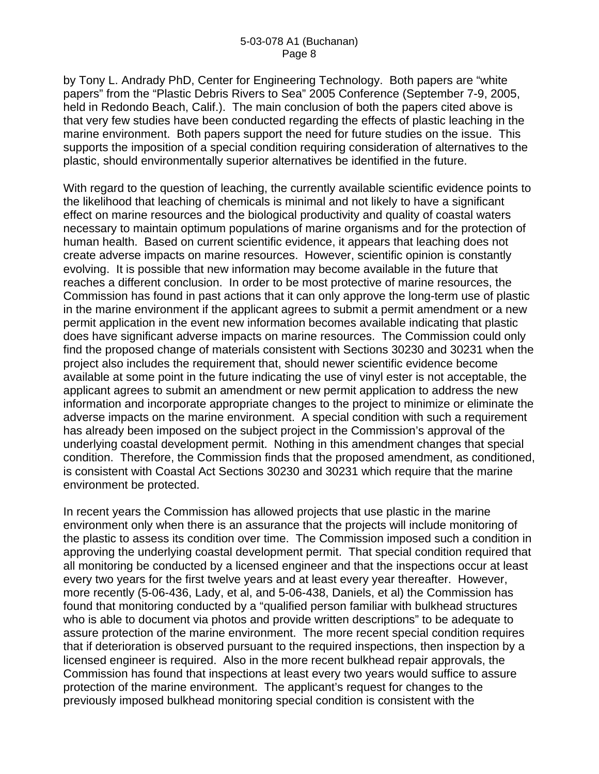by Tony L. Andrady PhD, Center for Engineering Technology. Both papers are "white papers" from the "Plastic Debris Rivers to Sea" 2005 Conference (September 7-9, 2005, held in Redondo Beach, Calif.). The main conclusion of both the papers cited above is that very few studies have been conducted regarding the effects of plastic leaching in the marine environment. Both papers support the need for future studies on the issue. This supports the imposition of a special condition requiring consideration of alternatives to the plastic, should environmentally superior alternatives be identified in the future.

With regard to the question of leaching, the currently available scientific evidence points to the likelihood that leaching of chemicals is minimal and not likely to have a significant effect on marine resources and the biological productivity and quality of coastal waters necessary to maintain optimum populations of marine organisms and for the protection of human health. Based on current scientific evidence, it appears that leaching does not create adverse impacts on marine resources. However, scientific opinion is constantly evolving. It is possible that new information may become available in the future that reaches a different conclusion. In order to be most protective of marine resources, the Commission has found in past actions that it can only approve the long-term use of plastic in the marine environment if the applicant agrees to submit a permit amendment or a new permit application in the event new information becomes available indicating that plastic does have significant adverse impacts on marine resources. The Commission could only find the proposed change of materials consistent with Sections 30230 and 30231 when the project also includes the requirement that, should newer scientific evidence become available at some point in the future indicating the use of vinyl ester is not acceptable, the applicant agrees to submit an amendment or new permit application to address the new information and incorporate appropriate changes to the project to minimize or eliminate the adverse impacts on the marine environment. A special condition with such a requirement has already been imposed on the subject project in the Commission's approval of the underlying coastal development permit. Nothing in this amendment changes that special condition. Therefore, the Commission finds that the proposed amendment, as conditioned, is consistent with Coastal Act Sections 30230 and 30231 which require that the marine environment be protected.

In recent years the Commission has allowed projects that use plastic in the marine environment only when there is an assurance that the projects will include monitoring of the plastic to assess its condition over time. The Commission imposed such a condition in approving the underlying coastal development permit. That special condition required that all monitoring be conducted by a licensed engineer and that the inspections occur at least every two years for the first twelve years and at least every year thereafter. However, more recently (5-06-436, Lady, et al, and 5-06-438, Daniels, et al) the Commission has found that monitoring conducted by a "qualified person familiar with bulkhead structures who is able to document via photos and provide written descriptions" to be adequate to assure protection of the marine environment. The more recent special condition requires that if deterioration is observed pursuant to the required inspections, then inspection by a licensed engineer is required. Also in the more recent bulkhead repair approvals, the Commission has found that inspections at least every two years would suffice to assure protection of the marine environment. The applicant's request for changes to the previously imposed bulkhead monitoring special condition is consistent with the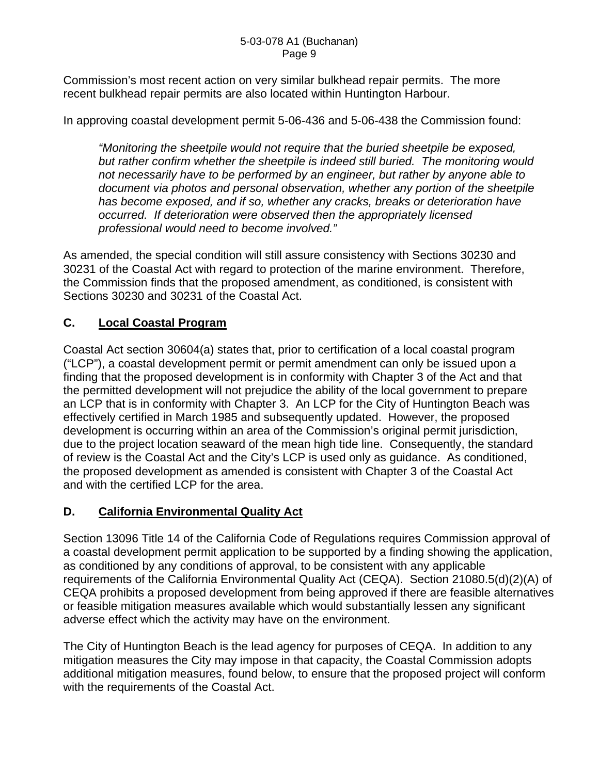Commission's most recent action on very similar bulkhead repair permits. The more recent bulkhead repair permits are also located within Huntington Harbour.

In approving coastal development permit 5-06-436 and 5-06-438 the Commission found:

*"Monitoring the sheetpile would not require that the buried sheetpile be exposed, but rather confirm whether the sheetpile is indeed still buried. The monitoring would not necessarily have to be performed by an engineer, but rather by anyone able to document via photos and personal observation, whether any portion of the sheetpile has become exposed, and if so, whether any cracks, breaks or deterioration have occurred. If deterioration were observed then the appropriately licensed professional would need to become involved."* 

As amended, the special condition will still assure consistency with Sections 30230 and 30231 of the Coastal Act with regard to protection of the marine environment. Therefore, the Commission finds that the proposed amendment, as conditioned, is consistent with Sections 30230 and 30231 of the Coastal Act.

# **C. Local Coastal Program**

Coastal Act section 30604(a) states that, prior to certification of a local coastal program ("LCP"), a coastal development permit or permit amendment can only be issued upon a finding that the proposed development is in conformity with Chapter 3 of the Act and that the permitted development will not prejudice the ability of the local government to prepare an LCP that is in conformity with Chapter 3. An LCP for the City of Huntington Beach was effectively certified in March 1985 and subsequently updated. However, the proposed development is occurring within an area of the Commission's original permit jurisdiction, due to the project location seaward of the mean high tide line. Consequently, the standard of review is the Coastal Act and the City's LCP is used only as guidance. As conditioned, the proposed development as amended is consistent with Chapter 3 of the Coastal Act and with the certified LCP for the area.

# **D. California Environmental Quality Act**

Section 13096 Title 14 of the California Code of Regulations requires Commission approval of a coastal development permit application to be supported by a finding showing the application, as conditioned by any conditions of approval, to be consistent with any applicable requirements of the California Environmental Quality Act (CEQA). Section 21080.5(d)(2)(A) of CEQA prohibits a proposed development from being approved if there are feasible alternatives or feasible mitigation measures available which would substantially lessen any significant adverse effect which the activity may have on the environment.

The City of Huntington Beach is the lead agency for purposes of CEQA. In addition to any mitigation measures the City may impose in that capacity, the Coastal Commission adopts additional mitigation measures, found below, to ensure that the proposed project will conform with the requirements of the Coastal Act.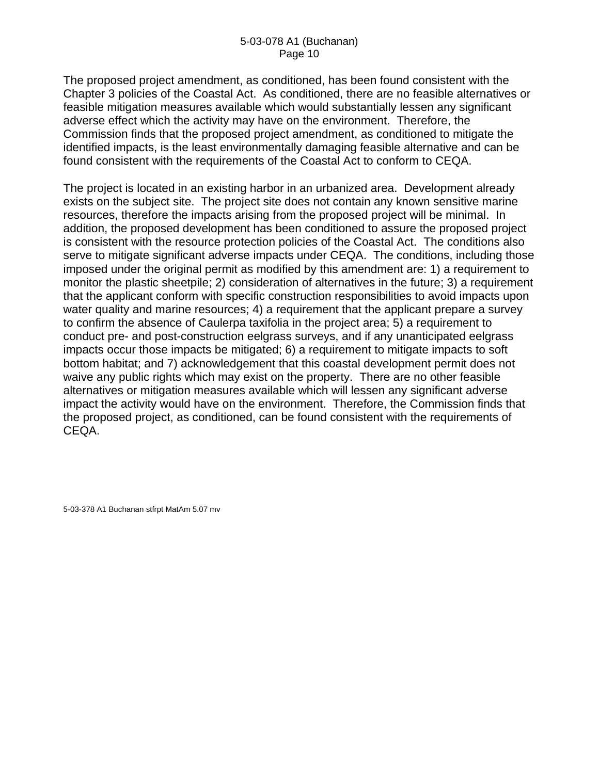The proposed project amendment, as conditioned, has been found consistent with the Chapter 3 policies of the Coastal Act. As conditioned, there are no feasible alternatives or feasible mitigation measures available which would substantially lessen any significant adverse effect which the activity may have on the environment. Therefore, the Commission finds that the proposed project amendment, as conditioned to mitigate the identified impacts, is the least environmentally damaging feasible alternative and can be found consistent with the requirements of the Coastal Act to conform to CEQA.

The project is located in an existing harbor in an urbanized area. Development already exists on the subject site. The project site does not contain any known sensitive marine resources, therefore the impacts arising from the proposed project will be minimal. In addition, the proposed development has been conditioned to assure the proposed project is consistent with the resource protection policies of the Coastal Act. The conditions also serve to mitigate significant adverse impacts under CEQA. The conditions, including those imposed under the original permit as modified by this amendment are: 1) a requirement to monitor the plastic sheetpile; 2) consideration of alternatives in the future; 3) a requirement that the applicant conform with specific construction responsibilities to avoid impacts upon water quality and marine resources; 4) a requirement that the applicant prepare a survey to confirm the absence of Caulerpa taxifolia in the project area; 5) a requirement to conduct pre- and post-construction eelgrass surveys, and if any unanticipated eelgrass impacts occur those impacts be mitigated; 6) a requirement to mitigate impacts to soft bottom habitat; and 7) acknowledgement that this coastal development permit does not waive any public rights which may exist on the property. There are no other feasible alternatives or mitigation measures available which will lessen any significant adverse impact the activity would have on the environment. Therefore, the Commission finds that the proposed project, as conditioned, can be found consistent with the requirements of CEQA.

5-03-378 A1 Buchanan stfrpt MatAm 5.07 mv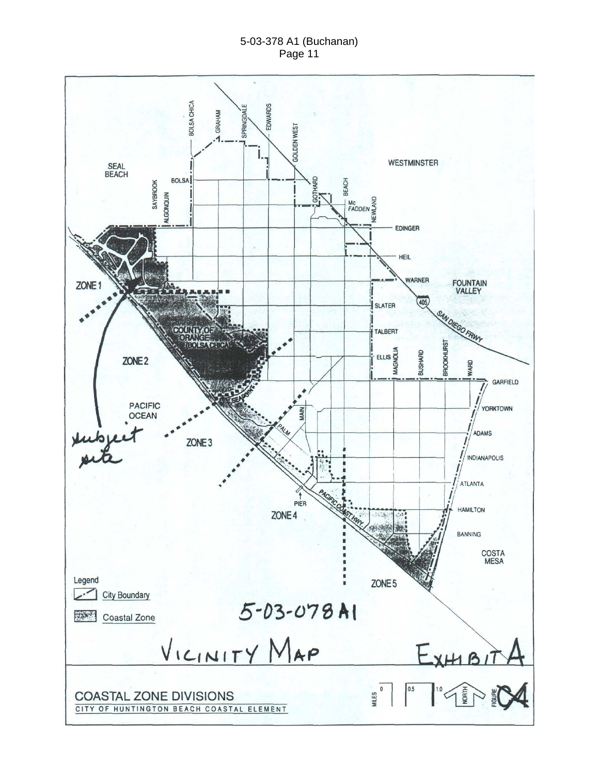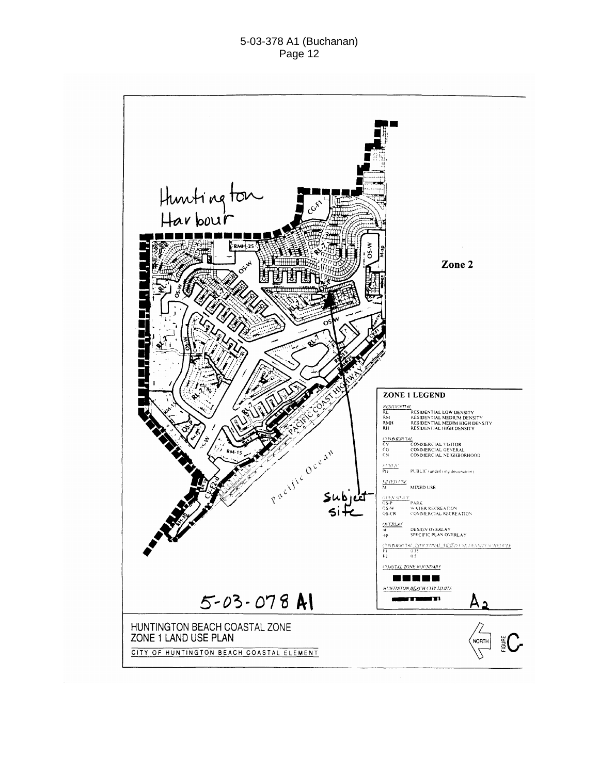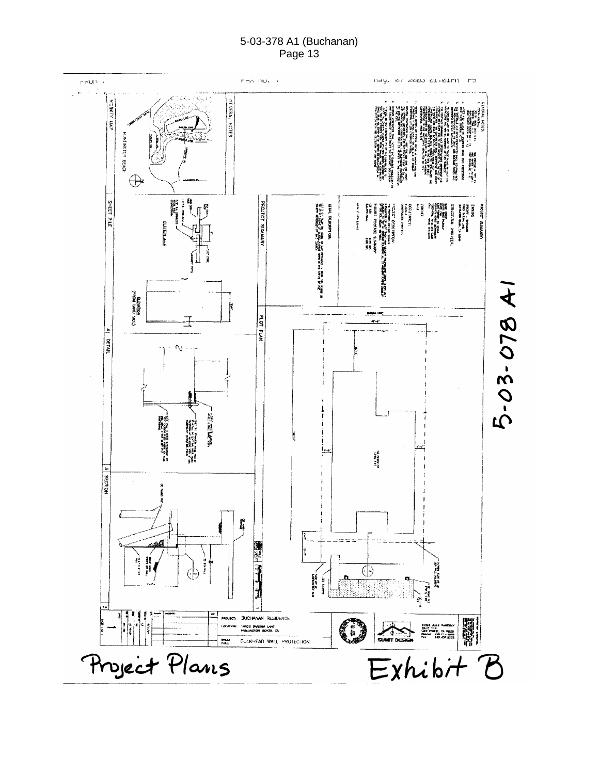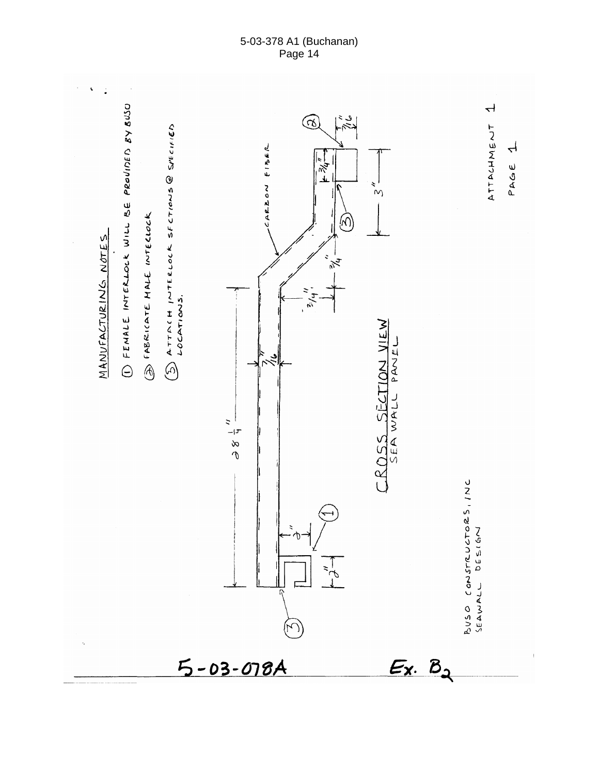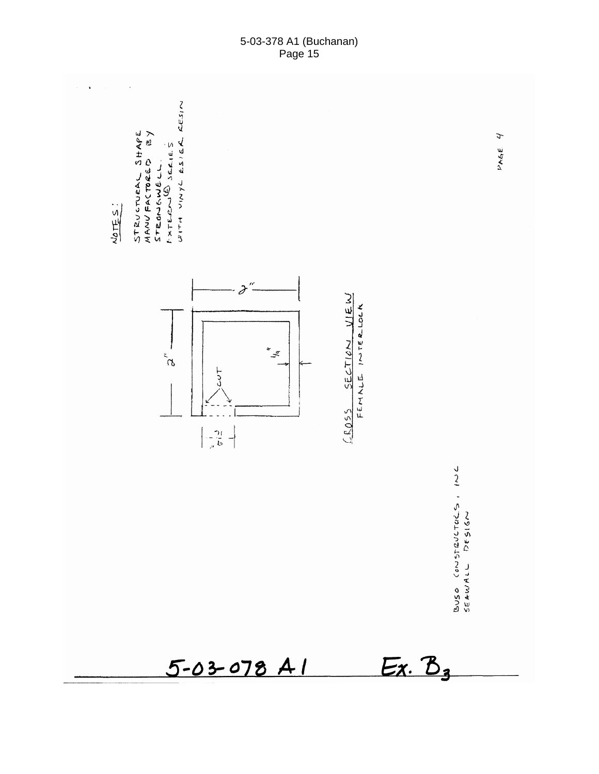